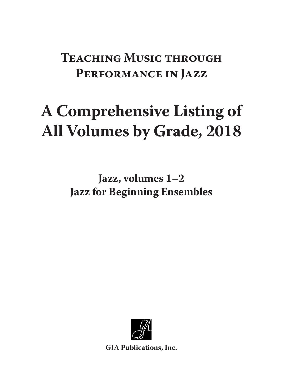## **Teaching Music through Performance in Jazz**

# **A Comprehensive Listing of All Volumes by Grade, 2018**

**Jazz, volumes 1–2 Jazz for Beginning Ensembles**



**GIA Publications, Inc.**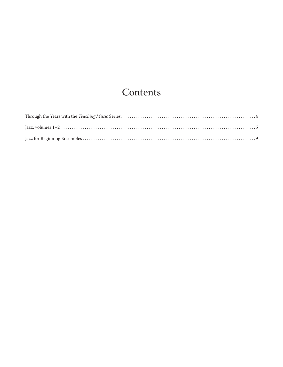### Contents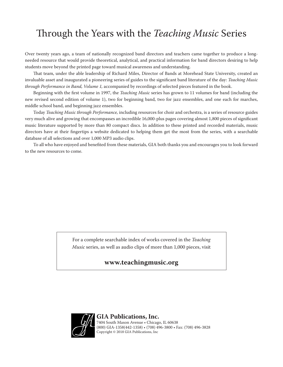### Through the Years with the *Teaching Music* Series

Over twenty years ago, a team of nationally recognized band directors and teachers came together to produce a longneeded resource that would provide theoretical, analytical, and practical information for band directors desiring to help students move beyond the printed page toward musical awareness and understanding.

That team, under the able leadership of Richard Miles, Director of Bands at Morehead State University, created an invaluable asset and inaugurated a pioneering series of guides to the significant band literature of the day: *Teaching Music through Performance in Band, Volume 1,* accompanied by recordings of selected pieces featured in the book.

Beginning with the first volume in 1997, the *Teaching Music* series has grown to 11 volumes for band (including the new revised second edition of volume 1), two for beginning band, two for jazz ensembles, and one each for marches, middle school band, and beginning jazz ensembles.

Today *Teaching Music through Performance,* including resources for choir and orchestra, is a series of resource guides very much alive and growing that encompasses an incredible 16,000-plus pages covering almost 1,800 pieces of significant music literature supported by more than 80 compact discs. In addition to these printed and recorded materials, music directors have at their fingertips a website dedicated to helping them get the most from the series, with a searchable database of all selections and over 1,000 MP3 audio clips.

To all who have enjoyed and benefited from these materials, GIA both thanks you and encourages you to look forward to the new resources to come.

> For a complete searchable index of works covered in the *Teaching Music* series, as well as audio clips of more than 1,000 pieces, visit

#### **www.teachingmusic.org**



#### **GIA Publications, Inc.** 7404 South Mason Avenue • Chicago, IL 60638 (800) GIA-1358(442-1358) • (708) 496-3800 • Fax: (708) 496-3828 Copyright © 2018 GIA Publications, Inc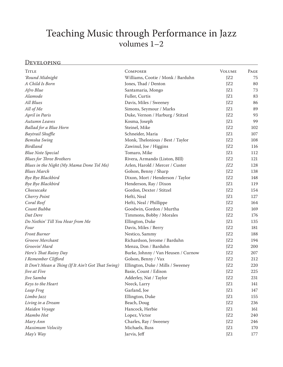### Teaching Music through Performance in Jazz volumes 1–2

#### Developing

| <b>TITLE</b>                                       | <b>COMPOSER</b>                     | <b>VOLUME</b>   | PAGE |
|----------------------------------------------------|-------------------------------------|-----------------|------|
| 'Round Midnight                                    | Williams, Cootie / Monk / Barduhn   | JZ <sub>2</sub> | 75   |
| A Child Is Born                                    | Jones, Thad / Denton                | JZ <sub>2</sub> | 80   |
| Afro Blue                                          | Santamaria, Mongo                   | JZ1             | 73   |
| Alamode                                            | Fuller, Curtis                      | JZ1             | 83   |
| <b>All Blues</b>                                   | Davis, Miles / Sweeney              | JZ <sub>2</sub> | 86   |
| All of Me                                          | Simons, Seymour / Marks             | JZ1             | 89   |
| April in Paris                                     | Duke, Vernon / Harburg / Stitzel    | JZ2             | 93   |
| Autumn Leaves                                      | Kosma, Joseph                       | JZ1             | 99   |
| Ballad for a Blue Horn                             | Steinel, Mike                       | JZ2             | 102  |
| Baytrail Shuffle                                   | Schneider, Maria                    | JZ1             | 107  |
| Bemsha Swing                                       | Monk, Thelonious / Best / Taylor    | JZ2             | 108  |
| <b>Birdland</b>                                    | Zawinul, Joe / Higgins              | JZ2             | 116  |
| <b>Blue Note Special</b>                           | Tomaro, Mike                        | JZ1             | 112  |
| <b>Blues for Three Brothers</b>                    | Rivera, Armando (Liston, BIll)      | JZ <sub>2</sub> | 121  |
| Blues in the Night (My Mama Done Tol Me)           | Arlen, Harold / Mercer / Custer     | JZ2             | 128  |
| <b>Blues March</b>                                 | Golson, Benny / Sharp               | JZ2             | 138  |
| Bye Bye Blackbird                                  | Dixon, Mort / Henderson / Taylor    | JZ2             | 148  |
| Bye Bye Blackbird                                  | Henderson, Ray / Dixon              | JZ1             | 119  |
| Cheesecake                                         | Gordon, Dexter / Stitzel            | JZ2             | 154  |
| Cherry Point                                       | Hefti, Neal                         | JZ1             | 127  |
| Coral Reef                                         | Hefti, Neal / Phillippe             | JZ <sub>2</sub> | 164  |
| Count Bubba                                        | Goodwin, Gordon / Murtha            | JZ <sub>2</sub> | 169  |
| Dat Dere                                           | Timmons, Bobby / Morales            | JZ2             | 176  |
| Do Nothin' Till You Hear from Me                   | Ellington, Duke                     | JZ1             | 135  |
| Four                                               | Davis, Miles / Berry                | JZ2             | 181  |
| <b>Front Burner</b>                                | Nestico, Sammy                      | JZ <sub>2</sub> | 188  |
| Groove Merchant                                    | Richardson, Jerome / Barduhn        | JZ2             | 194  |
| Groovin' Hard                                      | Menza, Don / Barduhn                | JZ2             | 200  |
| Here's That Rainy Day                              | Burke, Johnny / Van Heusen / Curnow | JZ2             | 207  |
| I Remember Clifford                                | Golson, Benny / Vax                 | JZ <sub>2</sub> | 212  |
| It Don't Mean a Thing (If It Ain't Got That Swing) | Ellington, Duke / Mills / Sweeney   | JZ2             | 220  |
| Jive at Five                                       | Basie, Count / Edison               | JZ2             | 225  |
| Jive Samba                                         | Adderley, Nat / Taylor              | JZ2             | 231  |
| Keys to the Heart                                  | Neeck, Larry                        | JZ1             | 141  |
| Leap Frog                                          | Garland, Joe                        | JZ1             | 147  |
| Limbo Jazz                                         | Ellington, Duke                     | JZ1             | 155  |
| Living in a Dream                                  | Beach, Doug                         | JZ2             | 236  |
| Maiden Voyage                                      | Hancock, Herbie                     | JZ1             | 161  |
| Mambo Hot                                          | Lopez, Victor                       | JZ2             | 240  |
| Mary Ann                                           | Charles, Ray / Sweeney              | JZ <sub>2</sub> | 246  |
| Maximum Velocity                                   | Michaels, Russ                      | JZ1             | 170  |
| May's Way                                          | Jarvis, Jeff                        | JZ1             | 177  |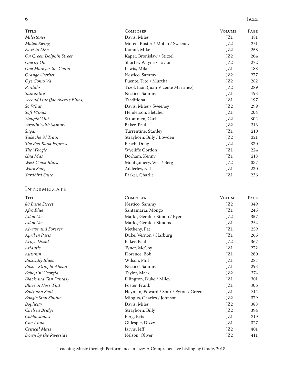#### 6 Jazz

| <b>TITLE</b>                    | <b>COMPOSER</b>                     | <b>VOLUME</b>   | PAGE |
|---------------------------------|-------------------------------------|-----------------|------|
| <b>Milestones</b>               | Davis, Miles                        | JZ1             | 181  |
| Moten Swing                     | Moten, Buster / Moten / Sweeney     | JZ <sub>2</sub> | 251  |
| Next in Line                    | Kamuf, Mike                         | JZ <sub>2</sub> | 258  |
| On Green Dolphin Street         | Kaper, Bronislaw / Stitzel          | JZ <sub>2</sub> | 264  |
| One by One                      | Shorter, Wayne / Taylor             | JZ <sub>2</sub> | 272  |
| One More for the Count          | Lewis, Mike                         | JZ1             | 188  |
| Orange Sherbet                  | Nestico, Sammy                      | JZ <sub>2</sub> | 277  |
| Oye Como Va                     | Puente, Tito / Murtha               | JZ <sub>2</sub> | 282  |
| Perdido                         | Tizol, Juan (Juan Vicente Martinez) | JZ <sub>2</sub> | 289  |
| Samantha                        | Nestico, Sammy                      | JZ1             | 193  |
| Second Line (Joe Avery's Blues) | Traditional                         | JZ1             | 197  |
| So What                         | Davis, Miles / Sweeney              | JZ <sub>2</sub> | 299  |
| Soft Winds                      | Henderson, Fletcher                 | JZ1             | 204  |
| Steppin' Out                    | Strommen, Carl                      | JZ <sub>2</sub> | 304  |
| Strollin' with Sammy            | Baker, Paul                         | JZ2             | 313  |
| Sugar                           | Turrentine, Stanley                 | JZ1             | 210  |
| Take the 'A' Train              | Strayhorn, Billy / Lowden           | JZ <sub>2</sub> | 321  |
| The Red Bank Express            | Beach, Doug                         | JZ <sub>2</sub> | 330  |
| The Woogie                      | Wycliffe Gordon                     | JZ1             | 224  |
| Una Mas                         | Dorham, Kenny                       | JZ1             | 218  |
| <b>West Coast Blues</b>         | Montgomery, Wes / Berg              | JZ2             | 337  |
| Work Song                       | Adderley, Nat                       | JZ1             | 230  |
| Yardbird Suite                  | Parker, Charlie                     | JZ1             | 236  |

#### **INTERMEDIATE**

| <b>TITLE</b>                 | COMPOSER                              | <b>VOLUME</b>   | PAGE |
|------------------------------|---------------------------------------|-----------------|------|
| 88 Basie Street              | Nestico, Sammy                        | JZ2             | 349  |
| Afro Blue                    | Santamaria, Mongo                     | JZ1             | 245  |
| All of Me                    | Marks, Gerald / Simon / Byers         | JZ <sub>2</sub> | 357  |
| All of Me                    | Marks, Gerald / Simons                | JZ1             | 252  |
| Always and Forever           | Metheny, Pat                          | JZ1             | 259  |
| April in Paris               | Duke, Vernon / Harburg                | JZ1             | 266  |
| Arnge Drank                  | Baker, Paul                           | JZ <sub>2</sub> | 367  |
| <i>Atlantis</i>              | Tyner, McCoy                          | JZ1             | 272  |
| Autumn                       | Florence, Bob                         | JZ1             | 280  |
| <b>Basically Blues</b>       | Wilson, Phil                          | JZ1             | 287  |
| Basie-Straight Ahead         | Nestico, Sammy                        | JZ1             | 293  |
| Bebop 'n' Georgia            | Taylor, Mark                          | JZ <sub>2</sub> | 374  |
| <b>Black and Tan Fantasy</b> | Ellington, Duke / Miley               | JZ1             | 301  |
| Blues in Hoss' Flat          | Foster, Frank                         | JZ1             | 306  |
| Body and Soul                | Heyman, Edward / Sour / Eyton / Green | JZ1             | 314  |
| <b>Boogie Stop Shuffle</b>   | Mingus, Charles / Johnson             | JZ <sub>2</sub> | 379  |
| Boplicity                    | Davis, Miles                          | JZ2             | 388  |
| Chelsea Bridge               | Strayhorn, Billy                      | JZ2             | 394  |
| Cobblestones                 | Berg, Kris                            | JZ1             | 319  |
| Con Alma                     | Gillespie, Dizzy                      | JZ1             | 327  |
| Critical Mass                | Jarvis, Jeff                          | JZ2             | 401  |
| Down by the Riverside        | Nelson, Oliver                        | JZ <sub>2</sub> | 411  |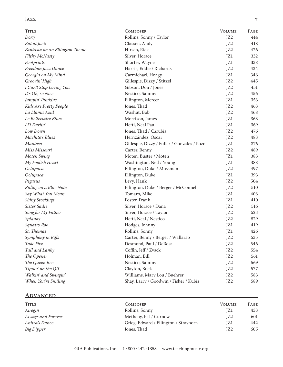#### Jazz 7

| <b>TITLE</b>                   | <b>COMPOSER</b>                             | <b>VOLUME</b>   | PAGE |
|--------------------------------|---------------------------------------------|-----------------|------|
| $D\alpha xy$                   | Rollins, Sonny / Taylor                     | JZ <sub>2</sub> | 414  |
| Eat at Joe's                   | Classen, Andy                               | JZ <sub>2</sub> | 418  |
| Fantasia on an Ellington Theme | Hirsch, Rick                                | JZ <sub>2</sub> | 426  |
| Filthy McNasty                 | Silver, Horace                              | JZ1             | 332  |
| Footprints                     | Shorter, Wayne                              | JZ1             | 338  |
| Freedom Jazz Dance             | Harris, Eddie / Richards                    | JZ <sub>2</sub> | 434  |
| Georgia on My Mind             | Carmichael, Hoagy                           | JZ1             | 346  |
| Groovin' High                  | Gillespie, Dizzy / Stitzel                  | JZ <sub>2</sub> | 445  |
| I Can't Stop Loving You        | Gibson, Don / Jones                         | JZ <sub>2</sub> | 451  |
| It's Oh, so Nice               | Nestico, Sammy                              | JZ2             | 456  |
| Jumpin' Punkins                | Ellington, Mercer                           | JZ1             | 353  |
| Kids Are Pretty People         | Jones, Thad                                 | JZ <sub>2</sub> | 463  |
| La Llama Azul                  | Washut, Bob                                 | JZ <sub>2</sub> | 468  |
| Le Belleclaire Blues           | Morrison, James                             | JZ1             | 363  |
| Li'l Darlin'                   | Hefti, Neal Paul                            | JZ1             | 369  |
| Low Down                       | Jones, Thad / Carubia                       | JZ <sub>2</sub> | 476  |
| Machito's Blues                | Hernzández, Oscar                           | JZ <sub>2</sub> | 483  |
| Manteca                        | Gillespie, Dizzy / Fuller / Gonzales / Pozo | JZ1             | 376  |
| Miss Missouri                  | Carter, Benny                               | JZ <sub>2</sub> | 489  |
| Moten Swing                    | Moten, Buster / Moten                       | JZ1             | 383  |
| My Foolish Heart               | Washington, Ned / Young                     | JZ1             | 388  |
| Oclupaca                       | Ellington, Duke / Mossman                   | JZ <sub>2</sub> | 497  |
| Oclupaca                       | Ellington, Duke                             | JZ1             | 393  |
| Pegasus                        | Levy, Hank                                  | JZ <sub>2</sub> | 504  |
| Riding on a Blue Note          | Ellington, Duke / Berger / McConnell        | JZ <sub>2</sub> | 510  |
| Say What You Mean              | Tomaro, Mike                                | JZ1             | 403  |
| <b>Shiny Stockings</b>         | Foster, Frank                               | JZ1             | 410  |
| Sister Sadie                   | Silver, Horace / Dana                       | JZ <sub>2</sub> | 516  |
| Song for My Father             | Silver, Horace / Taylor                     | JZ <sub>2</sub> | 523  |
| Splanky                        | Hefti, Neal / Nestico                       | JZ2             | 529  |
| Squatty Roo                    | Hodges, Johnny                              | JZ1             | 419  |
| St. Thomas                     | Rollins, Sonny                              | JZ1             | 426  |
| Symphony in Riffs              | Carter, Benny / Berger / Wallarab           | JZ2             | 535  |
| Take Five                      | Desmond, Paul / DeRosa                      | JZ2             | 546  |
| Tall and Lanky                 | Coffin, Jeff / Zvack                        | JZ2             | 554  |
| The Opener                     | Holman, Bill                                | JZ2             | 561  |
| The Queen Bee                  | Nestico, Sammy                              | JZ <sub>2</sub> | 569  |
| Tippin' on the Q.T.            | Clayton, Buck                               | JZ2             | 577  |
| Walkin' and Swingin'           | Williams, Mary Lou / Buehrer                | JZ2             | 583  |
| When You're Smiling            | Shay, Larry / Goodwin / Fisher / Kubis      | JZ2             | 589  |

#### **ADVANCED**

| Title              | <b>COMPOSER</b>                       | <b>VOLUME</b> | Page |
|--------------------|---------------------------------------|---------------|------|
| Airegin            | Rollins, Sonny                        | JZ1           | 433  |
| Always and Forever | Metheny, Pat / Curnow                 | IZ2           | 601  |
| Anitra's Dance     | Grieg, Edward / Ellington / Strayhorn | JZ1           | 442  |
| Big Dipper         | Jones, Thad                           | IZ2           | 605  |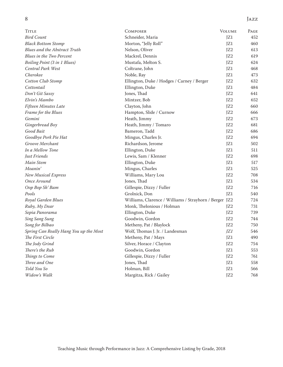#### 8 Jazz

| TITLE                                  | <b>COMPOSER</b>                                        | <b>VOLUME</b>   | PAGE |
|----------------------------------------|--------------------------------------------------------|-----------------|------|
| <b>Bird Count</b>                      | Schneider, Maria                                       | JZ1             | 452  |
| <b>Black Bottom Stomp</b>              | Morton, "Jelly Roll"                                   | JZ1             | 460  |
| <b>Blues and the Abstract Truth</b>    | Nelson, Oliver                                         | JZ2             | 613  |
| <b>Blues in the Two Percent</b>        | Mackrel, Dennis                                        | JZ2             | 619  |
| Boiling Point (3 in 1 Blues)           | Mustafa, Melton S.                                     | JZ2             | 624  |
| Central Park West                      | Coltrane, John                                         | JZ1             | 468  |
| Cherokee                               | Noble, Ray                                             | JZ1             | 473  |
| Cotton Club Stomp                      | Ellington, Duke / Hodges / Carney / Berger             | JZ2             | 632  |
| Cottontail                             | Ellington, Duke                                        | JZ1             | 484  |
| Don't Git Sassy                        | Jones, Thad                                            | JZ2             | 641  |
| Elvin's Mambo                          | Mintzer, Bob                                           | JZ2             | 652  |
| Fifteen Minutes Late                   | Clayton, John                                          | JZ2             | 660  |
| Frame for the Blues                    | Hampton, Slide / Curnow                                | JZ2             | 666  |
| Gemini                                 | Heath, Jimmy                                           | JZ <sub>2</sub> | 673  |
| Gingerbread Boy                        | Heath, Jimmy / Tomaro                                  | JZ2             | 681  |
| Good Bait                              | Bameron, Tadd                                          | JZ2             | 686  |
| Goodbye Pork Pie Hat                   | Mingus, Charles Jr.                                    | JZ2             | 694  |
| Groove Merchant                        | Richardson, Jerome                                     | JZ1             | 502  |
| In a Mellow Tone                       | Ellington, Duke                                        | JZ1             | 511  |
| Just Friends                           | Lewis, Sam / Klenner                                   | JZ2             | 698  |
| Main Stem                              | Ellington, Duke                                        | JZ1             | 517  |
| Moanin'                                | Mingus, Charles                                        | JZ1             | 525  |
| <b>New Musical Express</b>             | Williams, Mary Lou                                     | JZ2             | 708  |
| Once Around                            | Jones, Thad                                            | JZ1             | 534  |
| Oop Bop Sh' Bam                        | Gillespie, Dizzy / Fuller                              | JZ2             | 716  |
| Pools                                  | Grolnick, Don                                          | JZ1             | 540  |
| Royal Garden Blues                     | Williams, Clarence / Williams / Strayhorn / Berger JZ2 |                 | 724  |
| Ruby, My Dear                          | Monk, Thelonious / Holman                              | JZ2             | 731  |
| Sepia Panorama                         | Ellington, Duke                                        | JZ2             | 739  |
| <b>Sing Sang Sung</b>                  | Goodwin, Gordon                                        | JZ <sub>2</sub> | 744  |
| Song for Bilbao                        | Metheny, Pat / Blaylock                                | JZ2             | 750  |
| Spring Can Really Hang You up the Most | Wolf, Thomas J. Jr. / Landesman                        | JZ1             | 546  |
| The First Circle                       | Metheny, Pat / Mays                                    | JZ1             | 490  |
| The Jody Grind                         | Silver, Horace / Clayton                               | JZ2             | 754  |
| There's the Rub                        | Goodwin, Gordon                                        | JZ1             | 553  |
| Things to Come                         | Gillespie, Dizzy / Fuller                              | JZ2             | 761  |
| Three and One                          | Jones, Thad                                            | JZ1             | 558  |
| Told You So                            | Holman, Bill                                           | JZ1             | 566  |
| Widow's Walk                           | Margitza, Rick / Gailey                                | JZ2             | 768  |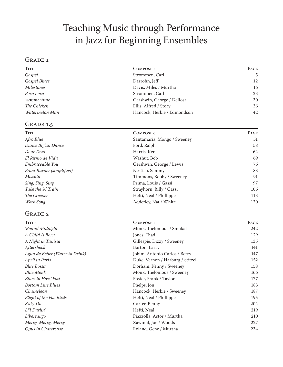### Teaching Music through Performance in Jazz for Beginning Ensembles

#### GRADE 1

| TITLE          | <b>COMPOSER</b>             | PAGE |
|----------------|-----------------------------|------|
| Gospel         | Strommen, Carl              | 5    |
| Gospel Blues   | Darrohn, Jeff               | 12   |
| Milestones     | Davis, Miles / Murtha       | 16   |
| Poco Loco      | Strommen, Carl              | 23   |
| Summertime     | Gershwin, George / DeRosa   | 30   |
| The Chicken    | Ellis, Alfred / Story       | 36   |
| Watermelon Man | Hancock, Herbie / Edmondson | 42   |

#### GRADE 1.5

| TITLE                            | <b>COMPOSER</b>             | PAGE |
|----------------------------------|-----------------------------|------|
| Afro Blue                        | Santamaria, Mongo / Sweeney | 51   |
| Dance Big'un Dance               | Ford, Ralph                 | 58   |
| Done Deal                        | Harris, Ken                 | 64   |
| El Ritmo de Vida                 | Washut, Bob                 | 69   |
| Embraceable You                  | Gershwin, George / Lewis    | 76   |
| <b>Front Burner</b> (simplified) | Nestico, Sammy              | 83   |
| Moanin'                          | Timmons, Bobby / Sweeney    | 91   |
| Sing, Sing, Sing                 | Prima, Louis / Gassi        | 97   |
| Take the 'A' Train               | Strayhorn, Billy / Gassi    | 106  |
| The Creeper                      | Hefti, Neal / Phillippe     | 113  |
| Work Song                        | Adderley, Nat / White       | 120  |

#### GRADE 2

| TITLE                          | <b>COMPOSER</b>                  | Page |
|--------------------------------|----------------------------------|------|
| 'Round Midnight                | Monk, Thelonious / Smukal        | 242  |
| A Child Is Born                | Jones, Thad                      | 129  |
| A Night in Tunisia             | Gillespie, Dizzy / Sweeney       | 135  |
| Aftershock                     | Barton, Larry                    | 141  |
| Agua de Beber (Water to Drink) | Jobim, Antonio Carlos / Berry    | 147  |
| April in Paris                 | Duke, Vernon / Harburg / Stitzel | 152  |
| Blue Bossa                     | Dorham, Kenny / Sweeney          | 158  |
| <b>Blue Monk</b>               | Monk, Thelonious / Sweeney       | 166  |
| Blues in Hoss' Flat            | Foster, Frank / Taylor           | 177  |
| <b>Bottom Line Blues</b>       | Phelps, Jon                      | 183  |
| Chameleon                      | Hancock, Herbie / Sweeney        | 187  |
| Flight of the Foo Birds        | Hefti, Neal / Phillippe          | 195  |
| Katy-Do                        | Carter, Benny                    | 204  |
| Li'l Darlin'                   | Hefti, Neal                      | 219  |
| Libertango                     | Piazzolla, Astor / Murtha        | 210  |
| Mercy, Mercy, Mercy            | Zawinul, Joe / Woods             | 227  |
| Opus in Chartreuse             | Roland, Gene / Murtha            | 234  |